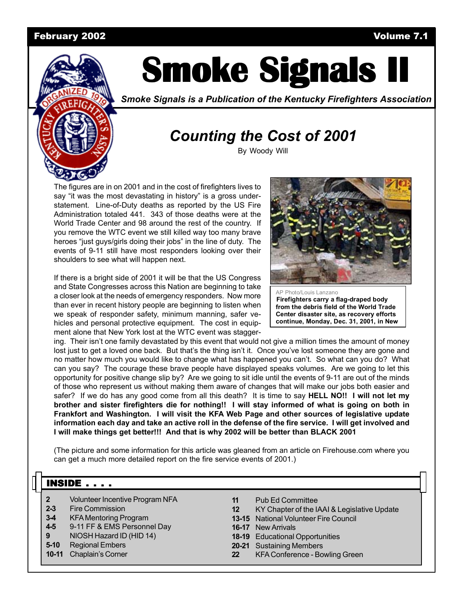#### February 2002 Volume 7.1



# **Smoke Signals II Smoke Signals II Smoke Signals II**

*Smoke Signals is a Publication of the Kentucky Firefighters Association*

# *Counting the Cost of 2001*

By Woody Will

The figures are in on 2001 and in the cost of firefighters lives to say "it was the most devastating in history" is a gross understatement. Line-of-Duty deaths as reported by the US Fire Administration totaled 441. 343 of those deaths were at the World Trade Center and 98 around the rest of the country. If you remove the WTC event we still killed way too many brave heroes "just guys/girls doing their jobs" in the line of duty. The events of 9-11 still have most responders looking over their shoulders to see what will happen next.

If there is a bright side of 2001 it will be that the US Congress and State Congresses across this Nation are beginning to take a closer look at the needs of emergency responders. Now more than ever in recent history people are beginning to listen when we speak of responder safety, minimum manning, safer vehicles and personal protective equipment. The cost in equipment alone that New York lost at the WTC event was stagger-



AP Photo/Louis Lanzano **Firefighters carry a flag-draped body from the debris field of the World Trade Center disaster site, as recovery efforts continue, Monday, Dec. 31, 2001, in New**

ing. Their isn't one family devastated by this event that would not give a million times the amount of money lost just to get a loved one back. But that's the thing isn't it. Once you've lost someone they are gone and no matter how much you would like to change what has happened you can't. So what can you do? What can you say? The courage these brave people have displayed speaks volumes. Are we going to let this opportunity for positive change slip by? Are we going to sit idle until the events of 9-11 are out of the minds of those who represent us without making them aware of changes that will make our jobs both easier and safer? If we do has any good come from all this death? It is time to say **HELL NO!! I will not let my brother and sister firefighters die for nothing!! I will stay informed of what is going on both in Frankfort and Washington. I will visit the KFA Web Page and other sources of legislative update information each day and take an active roll in the defense of the fire service. I will get involved and I will make things get better!!! And that is why 2002 will be better than BLACK 2001**

(The picture and some information for this article was gleaned from an article on Firehouse.com where you can get a much more detailed report on the fire service events of 2001.)

#### $INSIDE \ldots$

- **2** Volunteer Incentive Program NFA
- **2-3** Fire Commission
- **3-4** KFA Mentoring Program
- **4-5** 9-11 FF & EMS Personnel Day
- **9** NIOSH Hazard ID (HID 14)
- **5-10** Regional Embers
- **10-11** Chaplain's Corner
- **11** Pub Ed Committee
- **12** KY Chapter of the IAAI & Legislative Update
- **13-15** National Volunteer Fire Council
- **16-17** New Arrivals
- **18-19** Educational Opportunities
- **20-21** Sustaining Members
- **22** KFA Conference Bowling Green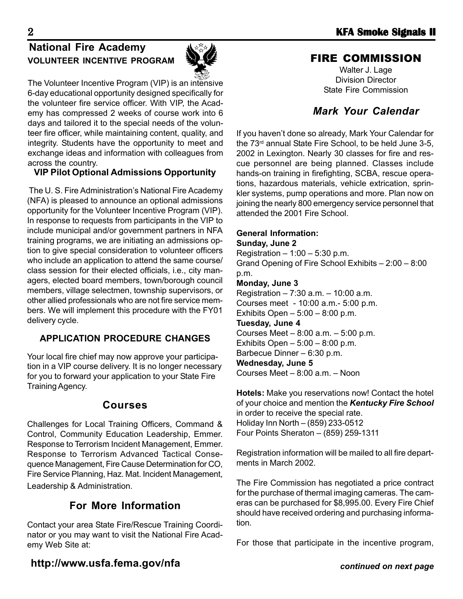# **National Fire Academy VOLUNTEER INCENTIVE PROGRAM**



The Volunteer Incentive Program (VIP) is an intensive 6-day educational opportunity designed specifically for the volunteer fire service officer. With VIP, the Academy has compressed 2 weeks of course work into 6 days and tailored it to the special needs of the volunteer fire officer, while maintaining content, quality, and integrity. Students have the opportunity to meet and exchange ideas and information with colleagues from across the country.

#### **VIP Pilot Optional Admissions Opportunity**

 The U. S. Fire Administration's National Fire Academy (NFA) is pleased to announce an optional admissions opportunity for the Volunteer Incentive Program (VIP). In response to requests from participants in the VIP to include municipal and/or government partners in NFA training programs, we are initiating an admissions option to give special consideration to volunteer officers who include an application to attend the same course/ class session for their elected officials, i.e., city managers, elected board members, town/borough council members, village selectmen, township supervisors, or other allied professionals who are not fire service members. We will implement this procedure with the FY01 delivery cycle.

#### **APPLICATION PROCEDURE CHANGES**

Your local fire chief may now approve your participation in a VIP course delivery. It is no longer necessary for you to forward your application to your State Fire Training Agency.

### **Courses**

Challenges for Local Training Officers, Command & Control, Community Education Leadership, Emmer. Response to Terrorism Incident Management, Emmer. Response to Terrorism Advanced Tactical Consequence Management, Fire Cause Determination for CO, Fire Service Planning, Haz. Mat. Incident Management, Leadership & Administration.

### **For More Information**

Contact your area State Fire/Rescue Training Coordinator or you may want to visit the National Fire Academy Web Site at:

#### FIRE COMMISSION

Walter J. Lage Division Director State Fire Commission

### *Mark Your Calendar*

If you haven't done so already, Mark Your Calendar for the 73rd annual State Fire School, to be held June 3-5, 2002 in Lexington. Nearly 30 classes for fire and rescue personnel are being planned. Classes include hands-on training in firefighting, SCBA, rescue operations, hazardous materials, vehicle extrication, sprinkler systems, pump operations and more. Plan now on joining the nearly 800 emergency service personnel that attended the 2001 Fire School.

#### **General Information:**

**Sunday, June 2** Registration  $-1:00 - 5:30$  p.m. Grand Opening of Fire School Exhibits – 2:00 – 8:00 p.m. **Monday, June 3** Registration – 7:30 a.m. – 10:00 a.m. Courses meet - 10:00 a.m.- 5:00 p.m. Exhibits Open – 5:00 – 8:00 p.m. **Tuesday, June 4** Courses Meet – 8:00 a.m. – 5:00 p.m. Exhibits Open – 5:00 – 8:00 p.m. Barbecue Dinner – 6:30 p.m. **Wednesday, June 5** Courses Meet – 8:00 a.m. – Noon

**Hotels:** Make you reservations now! Contact the hotel of your choice and mention the *Kentucky Fire School* in order to receive the special rate. Holiday Inn North – (859) 233-0512 Four Points Sheraton – (859) 259-1311

Registration information will be mailed to all fire departments in March 2002.

The Fire Commission has negotiated a price contract for the purchase of thermal imaging cameras. The cameras can be purchased for \$8,995.00. Every Fire Chief should have received ordering and purchasing information.

For those that participate in the incentive program,

# **http://www.usfa.fema.gov/nfa**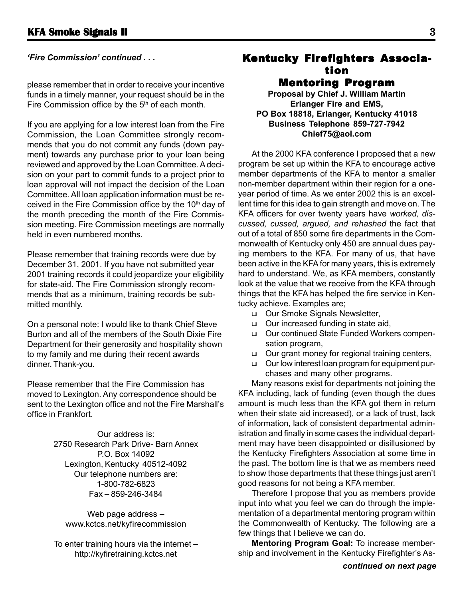please remember that in order to receive your incentive funds in a timely manner, your request should be in the Fire Commission office by the  $5<sup>th</sup>$  of each month.

If you are applying for a low interest loan from the Fire Commission, the Loan Committee strongly recommends that you do not commit any funds (down payment) towards any purchase prior to your loan being reviewed and approved by the Loan Committee. A decision on your part to commit funds to a project prior to loan approval will not impact the decision of the Loan Committee. All loan application information must be received in the Fire Commission office by the 10<sup>th</sup> day of the month preceding the month of the Fire Commission meeting. Fire Commission meetings are normally held in even numbered months.

Please remember that training records were due by December 31, 2001. If you have not submitted year 2001 training records it could jeopardize your eligibility for state-aid. The Fire Commission strongly recommends that as a minimum, training records be submitted monthly.

On a personal note: I would like to thank Chief Steve Burton and all of the members of the South Dixie Fire Department for their generosity and hospitality shown to my family and me during their recent awards dinner. Thank-you.

Please remember that the Fire Commission has moved to Lexington. Any correspondence should be sent to the Lexington office and not the Fire Marshall's office in Frankfort.

> Our address is: 2750 Research Park Drive- Barn Annex P.O. Box 14092 Lexington, Kentucky 40512-4092 Our telephone numbers are: 1-800-782-6823 Fax – 859-246-3484

Web page address – www.kctcs.net/kyfirecommission

To enter training hours via the internet – http://kyfiretraining.kctcs.net

#### *'Fire Commission' continued ...* **Kentucky Firefighters Associa**tion Mentoring Program

**Proposal by Chief J. William Martin Erlanger Fire and EMS, PO Box 18818, Erlanger, Kentucky 41018 Business Telephone 859-727-7942 Chief75@aol.com**

At the 2000 KFA conference I proposed that a new program be set up within the KFA to encourage active member departments of the KFA to mentor a smaller non-member department within their region for a oneyear period of time. As we enter 2002 this is an excellent time for this idea to gain strength and move on. The KFA officers for over twenty years have *worked, discussed, cussed, argued, and rehashed* the fact that out of a total of 850 some fire departments in the Commonwealth of Kentucky only 450 are annual dues paying members to the KFA. For many of us, that have been active in the KFA for many years, this is extremely hard to understand. We, as KFA members, constantly look at the value that we receive from the KFA through things that the KFA has helped the fire service in Kentucky achieve. Examples are;

- □ Our Smoke Signals Newsletter,
- □ Our increased funding in state aid,
- Our continued State Funded Workers compensation program,
- □ Our grant money for regional training centers,
- Our low interest loan program for equipment purchases and many other programs.

Many reasons exist for departments not joining the KFA including, lack of funding (even though the dues amount is much less than the KFA got them in return when their state aid increased), or a lack of trust, lack of information, lack of consistent departmental administration and finally in some cases the individual department may have been disappointed or disillusioned by the Kentucky Firefighters Association at some time in the past. The bottom line is that we as members need to show those departments that these things just aren't good reasons for not being a KFA member.

Therefore I propose that you as members provide input into what you feel we can do through the implementation of a departmental mentoring program within the Commonwealth of Kentucky. The following are a few things that I believe we can do.

**Mentoring Program Goal:** To increase membership and involvement in the Kentucky Firefighter's As-

*continued on next page*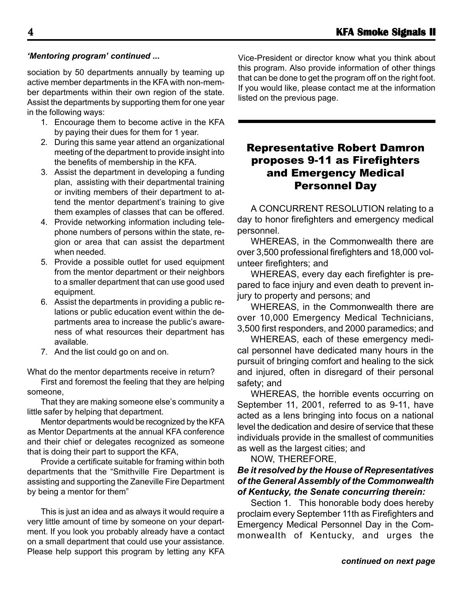sociation by 50 departments annually by teaming up active member departments in the KFA with non-member departments within their own region of the state. Assist the departments by supporting them for one year in the following ways:

- 1. Encourage them to become active in the KFA by paying their dues for them for 1 year.
- 2. During this same year attend an organizational meeting of the department to provide insight into the benefits of membership in the KFA.
- 3. Assist the department in developing a funding plan, assisting with their departmental training or inviting members of their department to attend the mentor department's training to give them examples of classes that can be offered.
- 4. Provide networking information including telephone numbers of persons within the state, region or area that can assist the department when needed.
- 5. Provide a possible outlet for used equipment from the mentor department or their neighbors to a smaller department that can use good used equipment.
- 6. Assist the departments in providing a public relations or public education event within the departments area to increase the public's awareness of what resources their department has available.
- 7. And the list could go on and on.

What do the mentor departments receive in return?

First and foremost the feeling that they are helping someone,

That they are making someone else's community a little safer by helping that department.

Mentor departments would be recognized by the KFA as Mentor Departments at the annual KFA conference and their chief or delegates recognized as someone that is doing their part to support the KFA,

Provide a certificate suitable for framing within both departments that the "Smithville Fire Department is assisting and supporting the Zaneville Fire Department by being a mentor for them"

This is just an idea and as always it would require a very little amount of time by someone on your department. If you look you probably already have a contact on a small department that could use your assistance. Please help support this program by letting any KFA

*'Mentoring program' continued ...* Vice-President or director know what you think about this program. Also provide information of other things that can be done to get the program off on the right foot. If you would like, please contact me at the information listed on the previous page.

#### Representative Robert Damron proposes 9-11 as Firefighters and Emergency Medical Personnel Day

A CONCURRENT RESOLUTION relating to a day to honor firefighters and emergency medical personnel.

WHEREAS, in the Commonwealth there are over 3,500 professional firefighters and 18,000 volunteer firefighters; and

WHEREAS, every day each firefighter is prepared to face injury and even death to prevent injury to property and persons; and

WHEREAS, in the Commonwealth there are over 10,000 Emergency Medical Technicians, 3,500 first responders, and 2000 paramedics; and

WHEREAS, each of these emergency medical personnel have dedicated many hours in the pursuit of bringing comfort and healing to the sick and injured, often in disregard of their personal safety; and

WHEREAS, the horrible events occurring on September 11, 2001, referred to as 9-11, have acted as a lens bringing into focus on a national level the dedication and desire of service that these individuals provide in the smallest of communities as well as the largest cities; and

NOW, THEREFORE,

#### *Be it resolved by the House of Representatives of the General Assembly of the Commonwealth of Kentucky, the Senate concurring therein:*

Section 1. This honorable body does hereby proclaim every September 11th as Firefighters and Emergency Medical Personnel Day in the Commonwealth of Kentucky, and urges the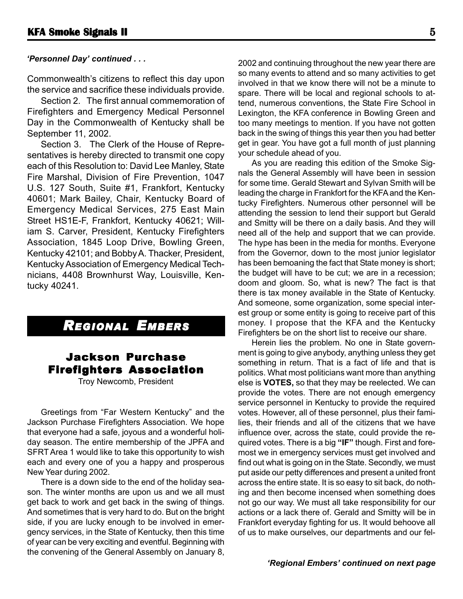Commonwealth's citizens to reflect this day upon the service and sacrifice these individuals provide.

Section 2. The first annual commemoration of Firefighters and Emergency Medical Personnel Day in the Commonwealth of Kentucky shall be September 11, 2002.

Section 3. The Clerk of the House of Representatives is hereby directed to transmit one copy each of this Resolution to: David Lee Manley, State Fire Marshal, Division of Fire Prevention, 1047 U.S. 127 South, Suite #1, Frankfort, Kentucky 40601; Mark Bailey, Chair, Kentucky Board of Emergency Medical Services, 275 East Main Street HS1E-F, Frankfort, Kentucky 40621; William S. Carver, President, Kentucky Firefighters Association, 1845 Loop Drive, Bowling Green, Kentucky 42101; and Bobby A. Thacker, President, Kentucky Association of Emergency Medical Technicians, 4408 Brownhurst Way, Louisville, Kentucky 40241.

# *REGIONAL EMBERS*

#### Jackson Purchase Firefighters Association

Troy Newcomb, President

Greetings from "Far Western Kentucky" and the Jackson Purchase Firefighters Association. We hope that everyone had a safe, joyous and a wonderful holiday season. The entire membership of the JPFA and SFRT Area 1 would like to take this opportunity to wish each and every one of you a happy and prosperous New Year during 2002.

There is a down side to the end of the holiday season. The winter months are upon us and we all must get back to work and get back in the swing of things. And sometimes that is very hard to do. But on the bright side, if you are lucky enough to be involved in emergency services, in the State of Kentucky, then this time of year can be very exciting and eventful. Beginning with the convening of the General Assembly on January 8,

*'Personnel Day' continued . . .* 2002 and continuing throughout the new year there are so many events to attend and so many activities to get involved in that we know there will not be a minute to spare. There will be local and regional schools to attend, numerous conventions, the State Fire School in Lexington, the KFA conference in Bowling Green and too many meetings to mention. If you have not gotten back in the swing of things this year then you had better get in gear. You have got a full month of just planning your schedule ahead of you.

> As you are reading this edition of the Smoke Signals the General Assembly will have been in session for some time. Gerald Stewart and Sylvan Smith will be leading the charge in Frankfort for the KFA and the Kentucky Firefighters. Numerous other personnel will be attending the session to lend their support but Gerald and Smitty will be there on a daily basis. And they will need all of the help and support that we can provide. The hype has been in the media for months. Everyone from the Governor, down to the most junior legislator has been bemoaning the fact that State money is short; the budget will have to be cut; we are in a recession; doom and gloom. So, what is new? The fact is that there is tax money available in the State of Kentucky. And someone, some organization, some special interest group or some entity is going to receive part of this money. I propose that the KFA and the Kentucky Firefighters be on the short list to receive our share.

> Herein lies the problem. No one in State government is going to give anybody, anything unless they get something in return. That is a fact of life and that is politics. What most politicians want more than anything else is **VOTES,** so that they may be reelected. We can provide the votes. There are not enough emergency service personnel in Kentucky to provide the required votes. However, all of these personnel, plus their families, their friends and all of the citizens that we have influence over, across the state, could provide the required votes. There is a big **"IF"** though. First and foremost we in emergency services must get involved and find out what is going on in the State. Secondly, we must put aside our petty differences and present a united front across the entire state. It is so easy to sit back, do nothing and then become incensed when something does not go our way. We must all take responsibility for our actions or a lack there of. Gerald and Smitty will be in Frankfort everyday fighting for us. It would behoove all of us to make ourselves, our departments and our fel-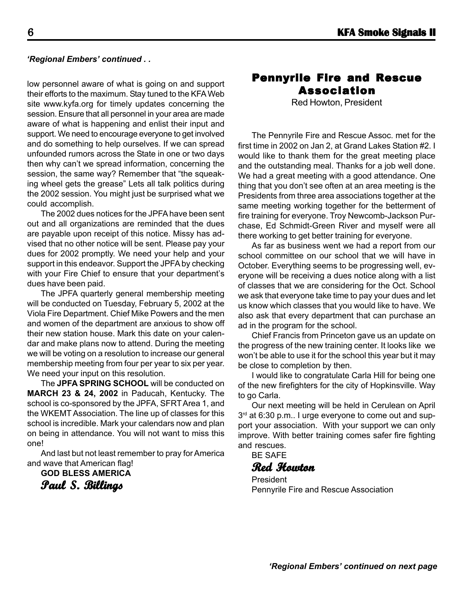#### **6 KFA Smoke Signals II**

#### *'Regional Embers' continued . .*

low personnel aware of what is going on and support their efforts to the maximum. Stay tuned to the KFA Web site www.kyfa.org for timely updates concerning the session. Ensure that all personnel in your area are made aware of what is happening and enlist their input and support. We need to encourage everyone to get involved and do something to help ourselves. If we can spread unfounded rumors across the State in one or two days then why can't we spread information, concerning the session, the same way? Remember that "the squeaking wheel gets the grease" Lets all talk politics during the 2002 session. You might just be surprised what we could accomplish.

The 2002 dues notices for the JPFA have been sent out and all organizations are reminded that the dues are payable upon receipt of this notice. Missy has advised that no other notice will be sent. Please pay your dues for 2002 promptly. We need your help and your support in this endeavor. Support the JPFA by checking with your Fire Chief to ensure that your department's dues have been paid.

The JPFA quarterly general membership meeting will be conducted on Tuesday, February 5, 2002 at the Viola Fire Department. Chief Mike Powers and the men and women of the department are anxious to show off their new station house. Mark this date on your calendar and make plans now to attend. During the meeting we will be voting on a resolution to increase our general membership meeting from four per year to six per year. We need your input on this resolution.

The **JPFA SPRING SCHOOL** will be conducted on **MARCH 23 & 24, 2002** in Paducah, Kentucky. The school is co-sponsored by the JPFA, SFRT Area 1, and the WKEMT Association. The line up of classes for this school is incredible. Mark your calendars now and plan on being in attendance. You will not want to miss this one!

And last but not least remember to pray for America and wave that American flag!

**GOD BLESS AMERICA**

**Paul S. Billings Billings**

#### Pennyrile Fire and Rescue Association

Red Howton, President

The Pennyrile Fire and Rescue Assoc. met for the first time in 2002 on Jan 2, at Grand Lakes Station #2. I would like to thank them for the great meeting place and the outstanding meal. Thanks for a job well done. We had a great meeting with a good attendance. One thing that you don't see often at an area meeting is the Presidents from three area associations together at the same meeting working together for the betterment of fire training for everyone. Troy Newcomb-Jackson Purchase, Ed Schmidt-Green River and myself were all there working to get better training for everyone.

As far as business went we had a report from our school committee on our school that we will have in October. Everything seems to be progressing well, everyone will be receiving a dues notice along with a list of classes that we are considering for the Oct. School we ask that everyone take time to pay your dues and let us know which classes that you would like to have. We also ask that every department that can purchase an ad in the program for the school.

Chief Francis from Princeton gave us an update on the progress of the new training center. It looks like we won't be able to use it for the school this year but it may be close to completion by then.

I would like to congratulate Carla Hill for being one of the new firefighters for the city of Hopkinsville. Way to go Carla.

Our next meeting will be held in Cerulean on April 3<sup>rd</sup> at 6:30 p.m.. I urge everyone to come out and support your association. With your support we can only improve. With better training comes safer fire fighting and rescues.

BE SAFE

#### **Red Howton Howton**

President Pennyrile Fire and Rescue Association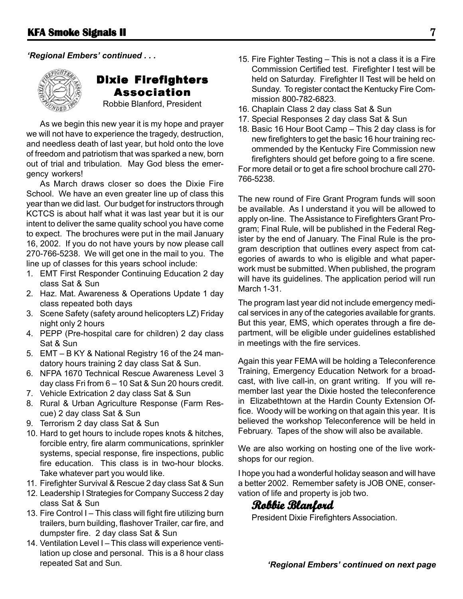

### Dixie Firefighters Association

Robbie Blanford, President

As we begin this new year it is my hope and prayer we will not have to experience the tragedy, destruction, and needless death of last year, but hold onto the love of freedom and patriotism that was sparked a new, born out of trial and tribulation. May God bless the emergency workers!

As March draws closer so does the Dixie Fire School. We have an even greater line up of class this year than we did last. Our budget for instructors through KCTCS is about half what it was last year but it is our intent to deliver the same quality school you have come to expect. The brochures were put in the mail January 16, 2002. If you do not have yours by now please call 270-766-5238. We will get one in the mail to you. The line up of classes for this years school include:

- 1. EMT First Responder Continuing Education 2 day class Sat & Sun
- 2. Haz. Mat. Awareness & Operations Update 1 day class repeated both days
- 3. Scene Safety (safety around helicopters LZ) Friday night only 2 hours
- 4. PEPP (Pre-hospital care for children) 2 day class Sat & Sun
- 5. EMT B KY & National Registry 16 of the 24 mandatory hours training 2 day class Sat & Sun.
- 6. NFPA 1670 Technical Rescue Awareness Level 3 day class Fri from 6 – 10 Sat & Sun 20 hours credit.
- 7. Vehicle Extrication 2 day class Sat & Sun
- 8. Rural & Urban Agriculture Response (Farm Rescue) 2 day class Sat & Sun
- 9. Terrorism 2 day class Sat & Sun
- 10. Hard to get hours to include ropes knots & hitches, forcible entry, fire alarm communications, sprinkler systems, special response, fire inspections, public fire education. This class is in two-hour blocks. Take whatever part you would like.
- 11. Firefighter Survival & Rescue 2 day class Sat & Sun
- 12. Leadership I Strategies for Company Success 2 day class Sat & Sun
- 13. Fire Control I This class will fight fire utilizing burn trailers, burn building, flashover Trailer, car fire, and dumpster fire. 2 day class Sat & Sun
- 14. Ventilation Level I This class will experience ventilation up close and personal. This is a 8 hour class repeated Sat and Sun. *'Regional Embers' continued on next page*
- *'Regional Embers' continued . . .* 15. Fire Fighter Testing This is not a class it is a Fire Commission Certified test. Firefighter I test will be held on Saturday. Firefighter II Test will be held on Sunday. To register contact the Kentucky Fire Commission 800-782-6823.
	- 16. Chaplain Class 2 day class Sat & Sun
	- 17. Special Responses 2 day class Sat & Sun
	- 18. Basic 16 Hour Boot Camp This 2 day class is for new firefighters to get the basic 16 hour training recommended by the Kentucky Fire Commission new firefighters should get before going to a fire scene.

For more detail or to get a fire school brochure call 270- 766-5238.

The new round of Fire Grant Program funds will soon be available. As I understand it you will be allowed to apply on-line. The Assistance to Firefighters Grant Program; Final Rule, will be published in the Federal Register by the end of January. The Final Rule is the program description that outlines every aspect from categories of awards to who is eligible and what paperwork must be submitted. When published, the program will have its guidelines. The application period will run March 1-31.

The program last year did not include emergency medical services in any of the categories available for grants. But this year, EMS, which operates through a fire department, will be eligible under guidelines established in meetings with the fire services.

Again this year FEMA will be holding a Teleconference Training, Emergency Education Network for a broadcast, with live call-in, on grant writing. If you will remember last year the Dixie hosted the teleconference in Elizabethtown at the Hardin County Extension Office. Woody will be working on that again this year. It is believed the workshop Teleconference will be held in February. Tapes of the show will also be available.

We are also working on hosting one of the live workshops for our region.

I hope you had a wonderful holiday season and will have a better 2002. Remember safety is JOB ONE, conservation of life and property is job two.

### **Robbie Blanford Robbie Blanford**

President Dixie Firefighters Association.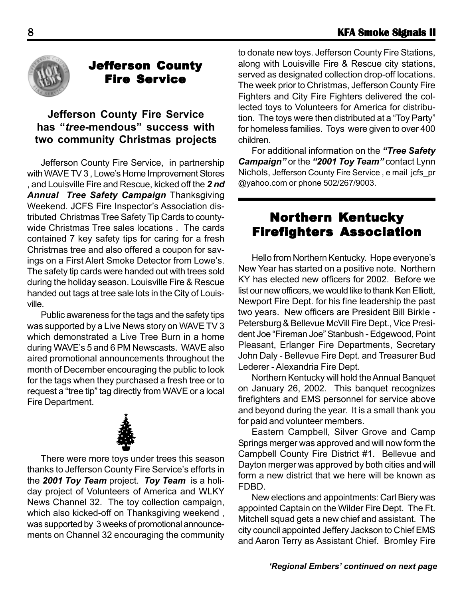

# Jefferson County Fire Service

#### **Jefferson County Fire Service has "***tree***-mendous" success with two community Christmas projects**

Jefferson County Fire Service, in partnership with WAVE TV 3 , Lowe's Home Improvement Stores , and Louisville Fire and Rescue, kicked off the *2 nd Annual Tree Safety Campaign* Thanksgiving Weekend. JCFS Fire Inspector's Association distributed Christmas Tree Safety Tip Cards to countywide Christmas Tree sales locations . The cards contained 7 key safety tips for caring for a fresh Christmas tree and also offered a coupon for savings on a First Alert Smoke Detector from Lowe's. The safety tip cards were handed out with trees sold during the holiday season. Louisville Fire & Rescue handed out tags at tree sale lots in the City of Louisville.

Public awareness for the tags and the safety tips was supported by a Live News story on WAVE TV 3 which demonstrated a Live Tree Burn in a home during WAVE's 5 and 6 PM Newscasts. WAVE also aired promotional announcements throughout the month of December encouraging the public to look for the tags when they purchased a fresh tree or to request a "tree tip" tag directly from WAVE or a local Fire Department.



There were more toys under trees this season thanks to Jefferson County Fire Service's efforts in the *2001 Toy Team* project. *Toy Team* is a holiday project of Volunteers of America and WLKY News Channel 32. The toy collection campaign, which also kicked-off on Thanksgiving weekend , was supported by 3 weeks of promotional announcements on Channel 32 encouraging the community

to donate new toys. Jefferson County Fire Stations, along with Louisville Fire & Rescue city stations, served as designated collection drop-off locations. The week prior to Christmas, Jefferson County Fire Fighters and City Fire Fighters delivered the collected toys to Volunteers for America for distribution. The toys were then distributed at a "Toy Party" for homeless families. Toys were given to over 400 children.

For additional information on the *"Tree Safety Campaign"* or the *"2001 Toy Team"* contact Lynn Nichols, Jefferson County Fire Service , e mail jcfs\_pr @yahoo.com or phone 502/267/9003.

# Northern Kentucky Firefighters Association

Hello from Northern Kentucky. Hope everyone's New Year has started on a positive note. Northern KY has elected new officers for 2002. Before we list our new officers, we would like to thank Ken Elliott, Newport Fire Dept. for his fine leadership the past two years. New officers are President Bill Birkle - Petersburg & Bellevue McVill Fire Dept., Vice President Joe "Fireman Joe" Stanbush - Edgewood, Point Pleasant, Erlanger Fire Departments, Secretary John Daly - Bellevue Fire Dept. and Treasurer Bud Lederer - Alexandria Fire Dept.

Northern Kentucky will hold the Annual Banquet on January 26, 2002. This banquet recognizes firefighters and EMS personnel for service above and beyond during the year. It is a small thank you for paid and volunteer members.

Eastern Campbell, Silver Grove and Camp Springs merger was approved and will now form the Campbell County Fire District #1. Bellevue and Dayton merger was approved by both cities and will form a new district that we here will be known as FDBD.

New elections and appointments: Carl Biery was appointed Captain on the Wilder Fire Dept. The Ft. Mitchell squad gets a new chief and assistant. The city council appointed Jeffery Jackson to Chief EMS and Aaron Terry as Assistant Chief. Bromley Fire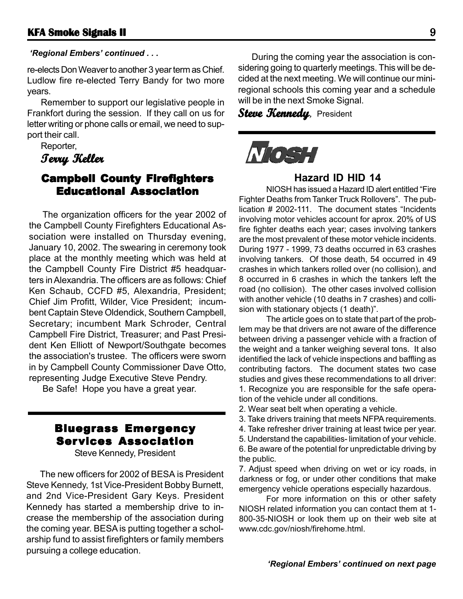re-elects Don Weaver to another 3 year term as Chief. Ludlow fire re-elected Terry Bandy for two more years.

Remember to support our legislative people in Frankfort during the session. If they call on us for letter writing or phone calls or email, we need to support their call.

Reporter,

**Terry Keller Terry** 

#### **Campbell County Firefighters** Educational Association

The organization officers for the year 2002 of the Campbell County Firefighters Educational Association were installed on Thursday evening, January 10, 2002. The swearing in ceremony took place at the monthly meeting which was held at the Campbell County Fire District #5 headquarters in Alexandria. The officers are as follows: Chief Ken Schaub, CCFD #5, Alexandria, President; Chief Jim Profitt, Wilder, Vice President; incumbent Captain Steve Oldendick, Southern Campbell, Secretary; incumbent Mark Schroder, Central Campbell Fire District, Treasurer; and Past President Ken Elliott of Newport/Southgate becomes the association's trustee. The officers were sworn in by Campbell County Commissioner Dave Otto, representing Judge Executive Steve Pendry.

Be Safe! Hope you have a great year.

# Bluegrass Emergency Services Association

Steve Kennedy, President

The new officers for 2002 of BESA is President Steve Kennedy, 1st Vice-President Bobby Burnett, and 2nd Vice-President Gary Keys. President Kennedy has started a membership drive to increase the membership of the association during the coming year. BESA is putting together a scholarship fund to assist firefighters or family members pursuing a college education.

*'Regional Embers' continued . . .* The same of the coming year the association is considering going to quarterly meetings. This will be decided at the next meeting. We will continue our miniregional schools this coming year and a schedule will be in the next Smoke Signal.

Steve **Kennedy**, President



#### **Hazard ID HID 14**

NIOSH has issued a Hazard ID alert entitled "Fire Fighter Deaths from Tanker Truck Rollovers". The publication # 2002-111. The document states "Incidents involving motor vehicles account for aprox. 20% of US fire fighter deaths each year; cases involving tankers are the most prevalent of these motor vehicle incidents. During 1977 - 1999, 73 deaths occurred in 63 crashes involving tankers. Of those death, 54 occurred in 49 crashes in which tankers rolled over (no collision), and 8 occurred in 6 crashes in which the tankers left the road (no collision). The other cases involved collision with another vehicle (10 deaths in 7 crashes) and collision with stationary objects (1 death)".

The article goes on to state that part of the problem may be that drivers are not aware of the difference between driving a passenger vehicle with a fraction of the weight and a tanker weighing several tons. It also identified the lack of vehicle inspections and baffling as contributing factors. The document states two case studies and gives these recommendations to all driver: 1. Recognize you are responsible for the safe operation of the vehicle under all conditions.

- 2. Wear seat belt when operating a vehicle.
- 3. Take drivers training that meets NFPA requirements.
- 4. Take refresher driver training at least twice per year.
- 5. Understand the capabilities- limitation of your vehicle.

6. Be aware of the potential for unpredictable driving by the public.

7. Adjust speed when driving on wet or icy roads, in darkness or fog, or under other conditions that make emergency vehicle operations especially hazardous.

For more information on this or other safety NIOSH related information you can contact them at 1- 800-35-NIOSH or look them up on their web site at www.cdc.gov/niosh/firehome.html.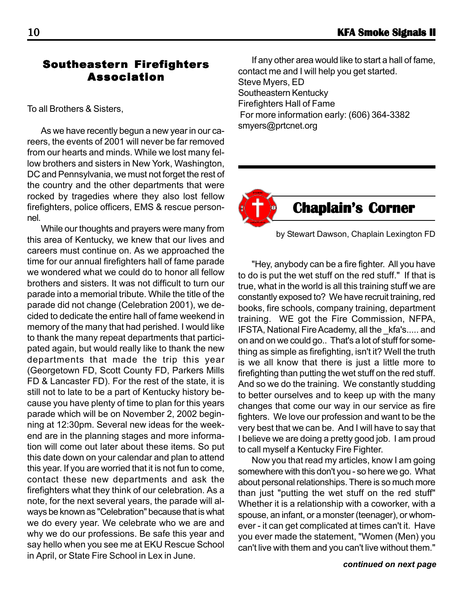#### Southeastern Firefighters Association

To all Brothers & Sisters,

As we have recently begun a new year in our careers, the events of 2001 will never be far removed from our hearts and minds. While we lost many fellow brothers and sisters in New York, Washington, DC and Pennsylvania, we must not forget the rest of the country and the other departments that were rocked by tragedies where they also lost fellow firefighters, police officers, EMS & rescue personnel.

While our thoughts and prayers were many from this area of Kentucky, we knew that our lives and careers must continue on. As we approached the time for our annual firefighters hall of fame parade we wondered what we could do to honor all fellow brothers and sisters. It was not difficult to turn our parade into a memorial tribute. While the title of the parade did not change (Celebration 2001), we decided to dedicate the entire hall of fame weekend in memory of the many that had perished. I would like to thank the many repeat departments that participated again, but would really like to thank the new departments that made the trip this year (Georgetown FD, Scott County FD, Parkers Mills FD & Lancaster FD). For the rest of the state, it is still not to late to be a part of Kentucky history because you have plenty of time to plan for this years parade which will be on November 2, 2002 beginning at 12:30pm. Several new ideas for the weekend are in the planning stages and more information will come out later about these items. So put this date down on your calendar and plan to attend this year. If you are worried that it is not fun to come, contact these new departments and ask the firefighters what they think of our celebration. As a note, for the next several years, the parade will always be known as "Celebration" because that is what we do every year. We celebrate who we are and why we do our professions. Be safe this year and say hello when you see me at EKU Rescue School in April, or State Fire School in Lex in June.

If any other area would like to start a hall of fame, contact me and I will help you get started. Steve Myers, ED Southeastern Kentucky Firefighters Hall of Fame For more information early: (606) 364-3382 smyers@prtcnet.org



by Stewart Dawson, Chaplain Lexington FD

"Hey, anybody can be a fire fighter. All you have to do is put the wet stuff on the red stuff." If that is true, what in the world is all this training stuff we are constantly exposed to? We have recruit training, red books, fire schools, company training, department training. WE got the Fire Commission, NFPA, IFSTA, National Fire Academy, all the \_kfa's..... and on and on we could go.. That's a lot of stuff for something as simple as firefighting, isn't it? Well the truth is we all know that there is just a little more to firefighting than putting the wet stuff on the red stuff. And so we do the training. We constantly studding to better ourselves and to keep up with the many changes that come our way in our service as fire fighters. We love our profession and want to be the very best that we can be. And I will have to say that I believe we are doing a pretty good job. I am proud to call myself a Kentucky Fire Fighter.

Now you that read my articles, know I am going somewhere with this don't you - so here we go. What about personal relationships. There is so much more than just "putting the wet stuff on the red stuff" Whether it is a relationship with a coworker, with a spouse, an infant, or a monster (teenager), or whomever - it can get complicated at times can't it. Have you ever made the statement, "Women (Men) you can't live with them and you can't live without them."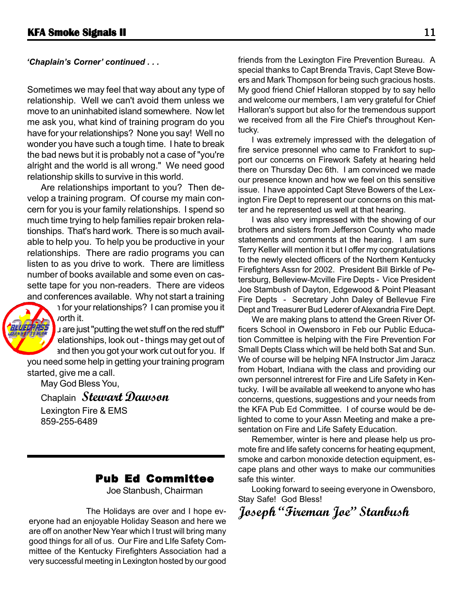#### *'Chaplain's Corner' continued . . .*

Sometimes we may feel that way about any type of relationship. Well we can't avoid them unless we move to an uninhabited island somewhere. Now let me ask you, what kind of training program do you have for your relationships? None you say! Well no wonder you have such a tough time. I hate to break the bad news but it is probably not a case of "you're alright and the world is all wrong." We need good relationship skills to survive in this world.

Are relationships important to you? Then develop a training program. Of course my main concern for you is your family relationships. I spend so much time trying to help families repair broken relationships. That's hard work. There is so much available to help you. To help you be productive in your relationships. There are radio programs you can listen to as you drive to work. There are limitless number of books available and some even on cassette tape for you non-readers. There are videos and conferences available. Why not start a training



*v*orth it. I are just "putting the wet stuff on the red stuff"

program for your relationships? I can promise you it

elationships, look out - things may get out of and then you got your work cut out for you. If you need some help in getting your training program

started, give me a call. May God Bless You,

Chaplain **Stewart Dawson**

Lexington Fire & EMS 859-255-6489

#### Pub Ed Committee

Joe Stanbush, Chairman

 The Holidays are over and I hope everyone had an enjoyable Holiday Season and here we are off on another New Year which I trust will bring many good things for all of us. Our Fire and LIfe Safety Committee of the Kentucky Firefighters Association had a very successful meeting in Lexington hosted by our good

friends from the Lexington Fire Prevention Bureau. A special thanks to Capt Brenda Travis, Capt Steve Bowers and Mark Thompson for being such gracious hosts. My good friend Chief Halloran stopped by to say hello and welcome our members, I am very grateful for Chief Halloran's support but also for the tremendous support we received from all the Fire Chief's throughout Kentucky.

I was extremely impressed with the delegation of fire service presonnel who came to Frankfort to support our concerns on Firework Safety at hearing held there on Thursday Dec 6th. I am convinced we made our presence known and how we feel on this sensitive issue. I have appointed Capt Steve Bowers of the Lexington Fire Dept to represent our concerns on this matter and he represented us well at that hearing.

I was also very impressed with the showing of our brothers and sisters from Jefferson County who made statements and comments at the hearing. I am sure Terry Keller will mention it but I offer my congratulations to the newly elected officers of the Northern Kentucky Firefighters Assn for 2002. President Bill Birkle of Petersburg, Belleview-Mcville Fire Depts - Vice President Joe Stambush of Dayton, Edgewood & Point Pleasant Fire Depts - Secretary John Daley of Bellevue Fire Dept and Treasurer Bud Lederer of Alexandria Fire Dept.

We are making plans to attend the Green River Officers School in Owensboro in Feb our Public Education Committee is helping with the Fire Prevention For Small Depts Class which will be held both Sat and Sun. We of course will be helping NFA Instructor Jim Jaracz from Hobart, Indiana with the class and providing our own personnel intrerest for Fire and Life Safety in Kentucky. I will be available all weekend to anyone who has concerns, questions, suggestions and your needs from the KFA Pub Ed Committee. I of course would be delighted to come to your Assn Meeting and make a presentation on Fire and Life Safety Education.

Remember, winter is here and please help us promote fire and life safety concerns for heating equpment, smoke and carbon monoxide detection equipment, escape plans and other ways to make our communities safe this winter.

Looking forward to seeing everyone in Owensboro, Stay Safe! God Bless!

**Joseph "Fireman Joe" Stanbush**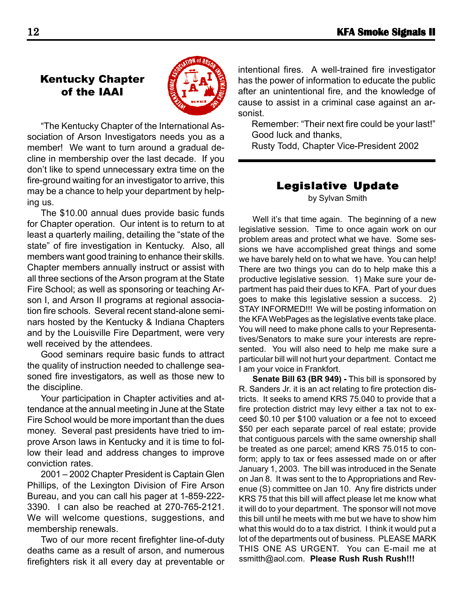### Kentucky Chapter of the IAAI



"The Kentucky Chapter of the International Association of Arson Investigators needs you as a member! We want to turn around a gradual decline in membership over the last decade. If you don't like to spend unnecessary extra time on the fire-ground waiting for an investigator to arrive, this may be a chance to help your department by helping us.

The \$10.00 annual dues provide basic funds for Chapter operation. Our intent is to return to at least a quarterly mailing, detailing the "state of the state" of fire investigation in Kentucky. Also, all members want good training to enhance their skills. Chapter members annually instruct or assist with all three sections of the Arson program at the State Fire School; as well as sponsoring or teaching Arson I, and Arson II programs at regional association fire schools. Several recent stand-alone seminars hosted by the Kentucky & Indiana Chapters and by the Louisville Fire Department, were very well received by the attendees.

Good seminars require basic funds to attract the quality of instruction needed to challenge seasoned fire investigators, as well as those new to the discipline.

Your participation in Chapter activities and attendance at the annual meeting in June at the State Fire School would be more important than the dues money. Several past presidents have tried to improve Arson laws in Kentucky and it is time to follow their lead and address changes to improve conviction rates.

2001 – 2002 Chapter President is Captain Glen Phillips, of the Lexington Division of Fire Arson Bureau, and you can call his pager at 1-859-222- 3390. I can also be reached at 270-765-2121. We will welcome questions, suggestions, and membership renewals.

Two of our more recent firefighter line-of-duty deaths came as a result of arson, and numerous firefighters risk it all every day at preventable or intentional fires. A well-trained fire investigator has the power of information to educate the public after an unintentional fire, and the knowledge of cause to assist in a criminal case against an arsonist.

Remember: "Their next fire could be your last!" Good luck and thanks,

Rusty Todd, Chapter Vice-President 2002

#### Legislative Update by Sylvan Smith

Well it's that time again. The beginning of a new legislative session. Time to once again work on our problem areas and protect what we have. Some sessions we have accomplished great things and some we have barely held on to what we have. You can help! There are two things you can do to help make this a productive legislative session. 1) Make sure your department has paid their dues to KFA. Part of your dues goes to make this legislative session a success. 2) STAY INFORMED!!! We will be posting information on the KFA WebPages as the legislative events take place. You will need to make phone calls to your Representatives/Senators to make sure your interests are represented. You will also need to help me make sure a particular bill will not hurt your department. Contact me I am your voice in Frankfort.

**Senate Bill 63 (BR 949) -** This bill is sponsored by R. Sanders Jr. it is an act relating to fire protection districts. It seeks to amend KRS 75.040 to provide that a fire protection district may levy either a tax not to exceed \$0.10 per \$100 valuation or a fee not to exceed \$50 per each separate parcel of real estate; provide that contiguous parcels with the same ownership shall be treated as one parcel; amend KRS 75.015 to conform; apply to tax or fees assessed made on or after January 1, 2003. The bill was introduced in the Senate on Jan 8. It was sent to the to Appropriations and Revenue (S) committee on Jan 10. Any fire districts under KRS 75 that this bill will affect please let me know what it will do to your department. The sponsor will not move this bill until he meets with me but we have to show him what this would do to a tax district. I think it would put a lot of the departments out of business. PLEASE MARK THIS ONE AS URGENT. You can E-mail me at ssmitth@aol.com. **Please Rush Rush Rush!!!**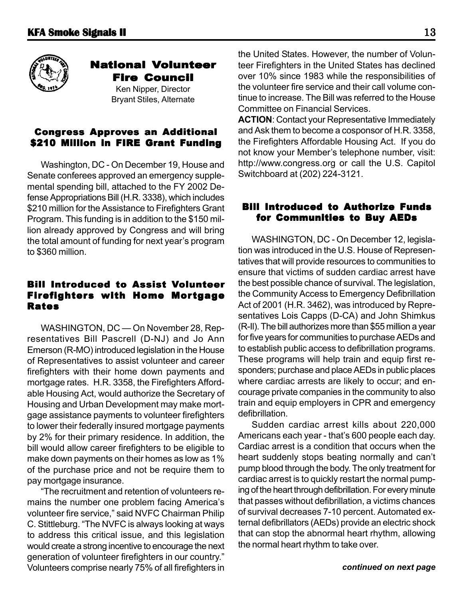

#### **National Volunteer** Fire Council

Ken Nipper, Director Bryant Stiles, Alternate

#### **Congress Approves an Additional** \$210 Million in FIRE Grant Funding

Washington, DC - On December 19, House and Senate conferees approved an emergency supplemental spending bill, attached to the FY 2002 Defense Appropriations Bill (H.R. 3338), which includes \$210 million for the Assistance to Firefighters Grant Program. This funding is in addition to the \$150 million already approved by Congress and will bring the total amount of funding for next year's program to \$360 million.

#### **Bill Introduced to Assist Volunteer** Firefighters with Home Mortgage Rates

WASHINGTON, DC — On November 28, Representatives Bill Pascrell (D-NJ) and Jo Ann Emerson (R-MO) introduced legislation in the House of Representatives to assist volunteer and career firefighters with their home down payments and mortgage rates. H.R. 3358, the Firefighters Affordable Housing Act, would authorize the Secretary of Housing and Urban Development may make mortgage assistance payments to volunteer firefighters to lower their federally insured mortgage payments by 2% for their primary residence. In addition, the bill would allow career firefighters to be eligible to make down payments on their homes as low as 1% of the purchase price and not be require them to pay mortgage insurance.

"The recruitment and retention of volunteers remains the number one problem facing America's volunteer fire service," said NVFC Chairman Philip C. Stittleburg. "The NVFC is always looking at ways to address this critical issue, and this legislation would create a strong incentive to encourage the next generation of volunteer firefighters in our country." Volunteers comprise nearly 75% of all firefighters in the United States. However, the number of Volunteer Firefighters in the United States has declined over 10% since 1983 while the responsibilities of the volunteer fire service and their call volume continue to increase. The Bill was referred to the House Committee on Financial Services.

**ACTION**: Contact your Representative Immediately and Ask them to become a cosponsor of H.R. 3358, the Firefighters Affordable Housing Act. If you do not know your Member's telephone number, visit: http://www.congress.org or call the U.S. Capitol Switchboard at (202) 224-3121.

#### Bill Introduced to Authorize Funds for Communities to Buy AEDs

WASHINGTON, DC - On December 12, legislation was introduced in the U.S. House of Representatives that will provide resources to communities to ensure that victims of sudden cardiac arrest have the best possible chance of survival. The legislation, the Community Access to Emergency Defibrillation Act of 2001 (H.R. 3462), was introduced by Representatives Lois Capps (D-CA) and John Shimkus (R-Il). The bill authorizes more than \$55 million a year for five years for communities to purchase AEDs and to establish public access to defibrillation programs. These programs will help train and equip first responders; purchase and place AEDs in public places where cardiac arrests are likely to occur; and encourage private companies in the community to also train and equip employers in CPR and emergency defibrillation.

Sudden cardiac arrest kills about 220,000 Americans each year - that's 600 people each day. Cardiac arrest is a condition that occurs when the heart suddenly stops beating normally and can't pump blood through the body. The only treatment for cardiac arrest is to quickly restart the normal pumping of the heart through defibrillation. For every minute that passes without defibrillation, a victims chances of survival decreases 7-10 percent. Automated external defibrillators (AEDs) provide an electric shock that can stop the abnormal heart rhythm, allowing the normal heart rhythm to take over.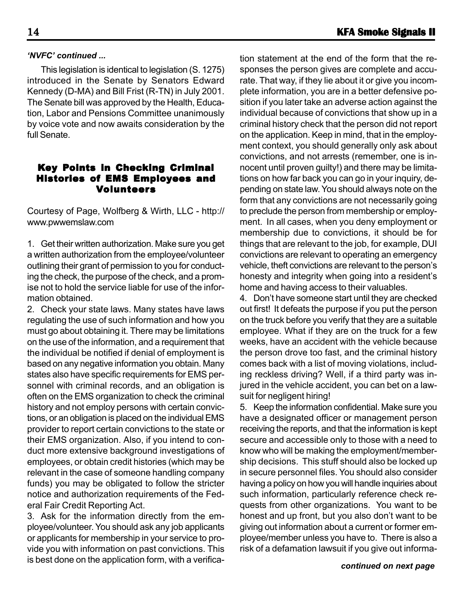This legislation is identical to legislation (S. 1275) introduced in the Senate by Senators Edward Kennedy (D-MA) and Bill Frist (R-TN) in July 2001. The Senate bill was approved by the Health, Education, Labor and Pensions Committee unanimously by voice vote and now awaits consideration by the full Senate.

#### **Key Points in Checking Criminal** Histories of EMS Employees and Volunteers

Courtesy of Page, Wolfberg & Wirth, LLC - http:// www.pwwemslaw.com

1. Get their written authorization. Make sure you get a written authorization from the employee/volunteer outlining their grant of permission to you for conducting the check, the purpose of the check, and a promise not to hold the service liable for use of the information obtained.

2. Check your state laws. Many states have laws regulating the use of such information and how you must go about obtaining it. There may be limitations on the use of the information, and a requirement that the individual be notified if denial of employment is based on any negative information you obtain. Many states also have specific requirements for EMS personnel with criminal records, and an obligation is often on the EMS organization to check the criminal history and not employ persons with certain convictions, or an obligation is placed on the individual EMS provider to report certain convictions to the state or their EMS organization. Also, if you intend to conduct more extensive background investigations of employees, or obtain credit histories (which may be relevant in the case of someone handling company funds) you may be obligated to follow the stricter notice and authorization requirements of the Federal Fair Credit Reporting Act.

3. Ask for the information directly from the employee/volunteer. You should ask any job applicants or applicants for membership in your service to provide you with information on past convictions. This is best done on the application form, with a verifica-

tion statement at the end of the form that the responses the person gives are complete and accurate. That way, if they lie about it or give you incomplete information, you are in a better defensive position if you later take an adverse action against the individual because of convictions that show up in a criminal history check that the person did not report on the application. Keep in mind, that in the employment context, you should generally only ask about convictions, and not arrests (remember, one is innocent until proven guilty!) and there may be limitations on how far back you can go in your inquiry, depending on state law. You should always note on the form that any convictions are not necessarily going to preclude the person from membership or employment. In all cases, when you deny employment or membership due to convictions, it should be for things that are relevant to the job, for example, DUI convictions are relevant to operating an emergency vehicle, theft convictions are relevant to the person's honesty and integrity when going into a resident's home and having access to their valuables.

4. Don't have someone start until they are checked out first! It defeats the purpose if you put the person on the truck before you verify that they are a suitable employee. What if they are on the truck for a few weeks, have an accident with the vehicle because the person drove too fast, and the criminal history comes back with a list of moving violations, including reckless driving? Well, if a third party was injured in the vehicle accident, you can bet on a lawsuit for negligent hiring!

5. Keep the information confidential. Make sure you have a designated officer or management person receiving the reports, and that the information is kept secure and accessible only to those with a need to know who will be making the employment/membership decisions. This stuff should also be locked up in secure personnel files. You should also consider having a policy on how you will handle inquiries about such information, particularly reference check requests from other organizations. You want to be honest and up front, but you also don't want to be giving out information about a current or former employee/member unless you have to. There is also a risk of a defamation lawsuit if you give out informa-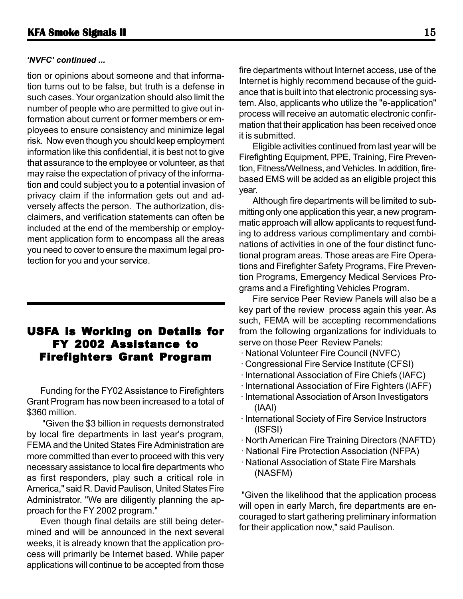#### *'NVFC' continued ...*

tion or opinions about someone and that information turns out to be false, but truth is a defense in such cases. Your organization should also limit the number of people who are permitted to give out information about current or former members or employees to ensure consistency and minimize legal risk. Now even though you should keep employment information like this confidential, it is best not to give that assurance to the employee or volunteer, as that may raise the expectation of privacy of the information and could subject you to a potential invasion of privacy claim if the information gets out and adversely affects the person. The authorization, disclaimers, and verification statements can often be included at the end of the membership or employment application form to encompass all the areas you need to cover to ensure the maximum legal protection for you and your service.

#### USFA is Working on Details for FY 2002 Assistance to Firefighters Grant Program

Funding for the FY02 Assistance to Firefighters Grant Program has now been increased to a total of \$360 million.

 "Given the \$3 billion in requests demonstrated by local fire departments in last year's program, FEMA and the United States Fire Administration are more committed than ever to proceed with this very necessary assistance to local fire departments who as first responders, play such a critical role in America," said R. David Paulison, United States Fire Administrator. "We are diligently planning the approach for the FY 2002 program."

Even though final details are still being determined and will be announced in the next several weeks, it is already known that the application process will primarily be Internet based. While paper applications will continue to be accepted from those fire departments without Internet access, use of the Internet is highly recommend because of the guidance that is built into that electronic processing system. Also, applicants who utilize the "e-application" process will receive an automatic electronic confirmation that their application has been received once it is submitted.

Eligible activities continued from last year will be Firefighting Equipment, PPE, Training, Fire Prevention, Fitness/Wellness, and Vehicles. In addition, firebased EMS will be added as an eligible project this year.

Although fire departments will be limited to submitting only one application this year, a new programmatic approach will allow applicants to request funding to address various complimentary and combinations of activities in one of the four distinct functional program areas. Those areas are Fire Operations and Firefighter Safety Programs, Fire Prevention Programs, Emergency Medical Services Programs and a Firefighting Vehicles Program.

Fire service Peer Review Panels will also be a key part of the review process again this year. As such, FEMA will be accepting recommendations from the following organizations for individuals to serve on those Peer Review Panels:

- · National Volunteer Fire Council (NVFC)
- · Congressional Fire Service Institute (CFSI)
- · International Association of Fire Chiefs (IAFC)
- · International Association of Fire Fighters (IAFF)
- · International Association of Arson Investigators (IAAI)
- · International Society of Fire Service Instructors (ISFSI)
- · North American Fire Training Directors (NAFTD)
- · National Fire Protection Association (NFPA)
- · National Association of State Fire Marshals (NASFM)

 "Given the likelihood that the application process will open in early March, fire departments are encouraged to start gathering preliminary information for their application now," said Paulison.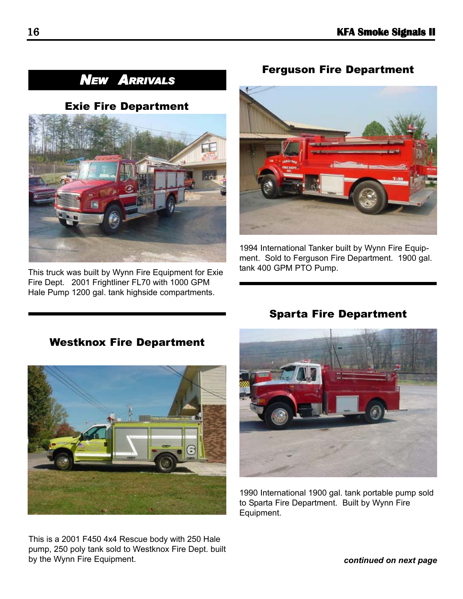# *NEW ARRIVALS*

#### Exie Fire Department



This truck was built by Wynn Fire Equipment for Exie Fire Dept. 2001 Frightliner FL70 with 1000 GPM Hale Pump 1200 gal. tank highside compartments.

Westknox Fire Department

#### Ferguson Fire Department



1994 International Tanker built by Wynn Fire Equipment. Sold to Ferguson Fire Department. 1900 gal. tank 400 GPM PTO Pump.



This is a 2001 F450 4x4 Rescue body with 250 Hale pump, 250 poly tank sold to Westknox Fire Dept. built by the Wynn Fire Equipment.

#### Sparta Fire Department



1990 International 1900 gal. tank portable pump sold to Sparta Fire Department. Built by Wynn Fire Equipment.

*continued on next page*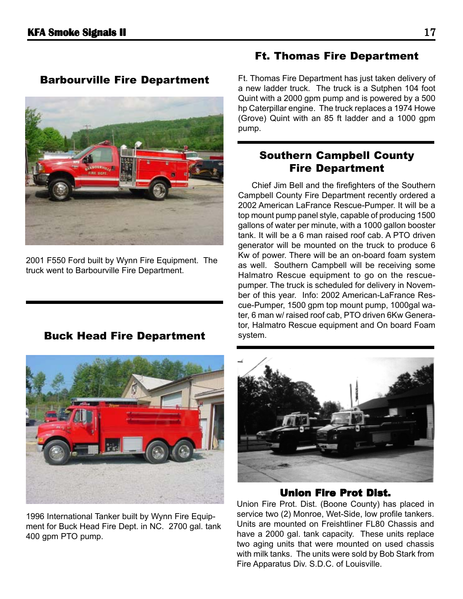Barbourville Fire Department

2001 F550 Ford built by Wynn Fire Equipment. The truck went to Barbourville Fire Department.

### Buck Head Fire Department



1996 International Tanker built by Wynn Fire Equipment for Buck Head Fire Dept. in NC. 2700 gal. tank 400 gpm PTO pump.

#### Ft. Thomas Fire Department

Ft. Thomas Fire Department has just taken delivery of a new ladder truck. The truck is a Sutphen 104 foot Quint with a 2000 gpm pump and is powered by a 500 hp Caterpillar engine. The truck replaces a 1974 Howe (Grove) Quint with an 85 ft ladder and a 1000 gpm pump.

#### Southern Campbell County Fire Department

Chief Jim Bell and the firefighters of the Southern Campbell County Fire Department recently ordered a 2002 American LaFrance Rescue-Pumper. It will be a top mount pump panel style, capable of producing 1500 gallons of water per minute, with a 1000 gallon booster tank. It will be a 6 man raised roof cab. A PTO driven generator will be mounted on the truck to produce 6 Kw of power. There will be an on-board foam system as well. Southern Campbell will be receiving some Halmatro Rescue equipment to go on the rescuepumper. The truck is scheduled for delivery in November of this year. Info: 2002 American-LaFrance Rescue-Pumper, 1500 gpm top mount pump, 1000gal water, 6 man w/ raised roof cab, PTO driven 6Kw Generator, Halmatro Rescue equipment and On board Foam system.



#### **Union Fire Prot Dist.**

Union Fire Prot. Dist. (Boone County) has placed in service two (2) Monroe, Wet-Side, low profile tankers. Units are mounted on Freishtliner FL80 Chassis and have a 2000 gal. tank capacity. These units replace two aging units that were mounted on used chassis with milk tanks. The units were sold by Bob Stark from Fire Apparatus Div. S.D.C. of Louisville.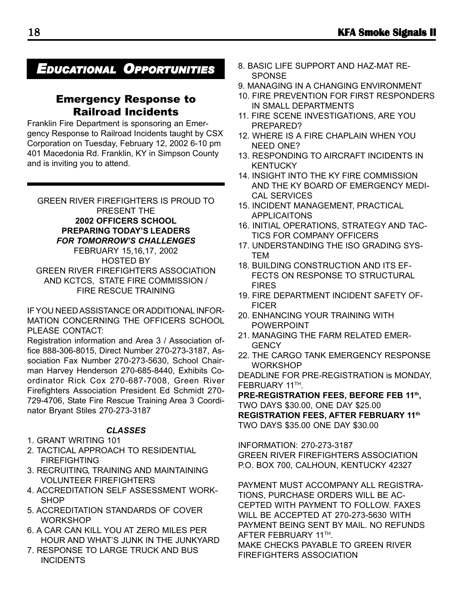# *EDUCATIONAL OPPORTUNITIES*

#### Emergency Response to Railroad Incidents

Franklin Fire Department is sponsoring an Emergency Response to Railroad Incidents taught by CSX Corporation on Tuesday, February 12, 2002 6-10 pm 401 Macedonia Rd. Franklin, KY in Simpson County and is inviting you to attend.

GREEN RIVER FIREFIGHTERS IS PROUD TO PRESENT THE **2002 OFFICERS SCHOOL PREPARING TODAY'S LEADERS** *FOR TOMORROW'S CHALLENGES* FEBRUARY 15,16,17, 2002 HOSTED BY

GREEN RIVER FIREFIGHTERS ASSOCIATION AND KCTCS, STATE FIRE COMMISSION / FIRE RESCUE TRAINING

IF YOU NEED ASSISTANCE OR ADDITIONAL INFOR-MATION CONCERNING THE OFFICERS SCHOOL PLEASE CONTACT:

Registration information and Area 3 / Association office 888-306-8015, Direct Number 270-273-3187, Association Fax Number 270-273-5630, School Chairman Harvey Henderson 270-685-8440, Exhibits Coordinator Rick Cox 270-687-7008, Green River Firefighters Association President Ed Schmidt 270- 729-4706, State Fire Rescue Training Area 3 Coordinator Bryant Stiles 270-273-3187

#### *CLASSES*

#### 1. GRANT WRITING 101

- 2. TACTICAL APPROACH TO RESIDENTIAL **FIREFIGHTING**
- 3. RECRUITING, TRAINING AND MAINTAINING VOLUNTEER FIREFIGHTERS
- 4. ACCREDITATION SELF ASSESSMENT WORK-**SHOP**
- 5. ACCREDITATION STANDARDS OF COVER **WORKSHOP**
- 6. A CAR CAN KILL YOU AT ZERO MILES PER HOUR AND WHAT'S JUNK IN THE JUNKYARD
- 7. RESPONSE TO LARGE TRUCK AND BUS **INCIDENTS**
- 8. BASIC LIFE SUPPORT AND HAZ-MAT RE-**SPONSE**
- 9. MANAGING IN A CHANGING ENVIRONMENT
- 10. FIRE PREVENTION FOR FIRST RESPONDERS IN SMALL DEPARTMENTS
- 11. FIRE SCENE INVESTIGATIONS, ARE YOU PREPARED?
- 12. WHERE IS A FIRE CHAPLAIN WHEN YOU NEED ONE?
- 13. RESPONDING TO AIRCRAFT INCIDENTS IN **KENTUCKY**
- 14. INSIGHT INTO THE KY FIRE COMMISSION AND THE KY BOARD OF EMERGENCY MEDI-CAL SERVICES
- 15. INCIDENT MANAGEMENT, PRACTICAL APPLICAITONS
- 16. INITIAL OPERATIONS, STRATEGY AND TAC-TICS FOR COMPANY OFFICERS
- 17. UNDERSTANDING THE ISO GRADING SYS-TEM
- 18. BUILDING CONSTRUCTION AND ITS EF-FECTS ON RESPONSE TO STRUCTURAL FIRES
- 19. FIRE DEPARTMENT INCIDENT SAFETY OF-FICER
- 20. ENHANCING YOUR TRAINING WITH POWERPOINT
- 21. MANAGING THE FARM RELATED EMER-**GENCY**
- 22. THE CARGO TANK EMERGENCY RESPONSE **WORKSHOP**

DEADLINE FOR PRE-REGISTRATION is MONDAY, FEBRUARY 11TH.

**PRE-REGISTRATION FEES, BEFORE FEB 11th,** TWO DAYS \$30.00, ONE DAY \$25.00 **REGISTRATION FEES, AFTER FEBRUARY 11th** TWO DAYS \$35.00 ONE DAY \$30.00

INFORMATION: 270-273-3187 GREEN RIVER FIREFIGHTERS ASSOCIATION P.O. BOX 700, CALHOUN, KENTUCKY 42327

PAYMENT MUST ACCOMPANY ALL REGISTRA-TIONS, PURCHASE ORDERS WILL BE AC-CEPTED WITH PAYMENT TO FOLLOW. FAXES WILL BE ACCEPTED AT 270-273-5630 WITH PAYMENT BEING SENT BY MAIL. NO REFUNDS AFTER FEBRUARY 11TH. MAKE CHECKS PAYABLE TO GREEN RIVER

FIREFIGHTERS ASSOCIATION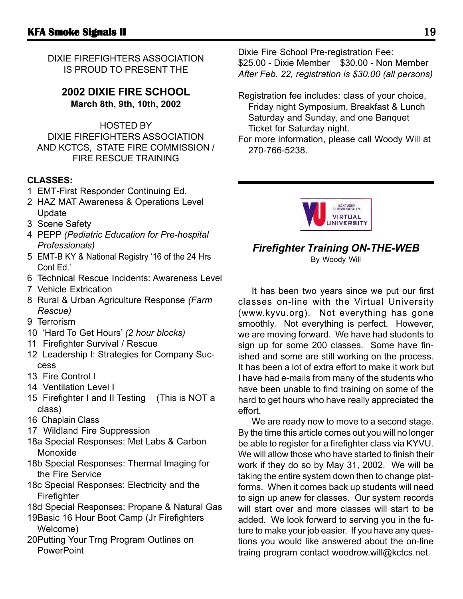DIXIE FIREFIGHTERS ASSOCIATION IS PROUD TO PRESENT THE

#### **2002 DIXIE FIRE SCHOOL March 8th, 9th, 10th, 2002**

HOSTED BY DIXIE FIREFIGHTERS ASSOCIATION AND KCTCS, STATE FIRE COMMISSION / FIRE RESCUE TRAINING

#### **CLASSES:**

- 1 EMT-First Responder Continuing Ed.
- 2 HAZ MAT Awareness & Operations Level Update
- 3 Scene Safety
- 4 PEPP *(Pediatric Education for Pre-hospital Professionals)*
- 5 EMT-B KY & National Registry '16 of the 24 Hrs Cont Ed.'
- 6 Technical Rescue Incidents: Awareness Level
- 7 Vehicle Extrication
- 8 Rural & Urban Agriculture Response *(Farm Rescue)*
- 9 Terrorism
- 10 'Hard To Get Hours' *(2 hour blocks)*
- 11 Firefighter Survival / Rescue
- 12 Leadership I: Strategies for Company Success
- 13 Fire Control I
- 14 Ventilation Level I
- 15 Firefighter I and II Testing (This is NOT a class)
- 16 Chaplain Class
- 17 Wildland Fire Suppression
- 18a Special Responses: Met Labs & Carbon Monoxide
- 18b Special Responses: Thermal Imaging for the Fire Service
- 18c Special Responses: Electricity and the Firefighter
- 18d Special Responses: Propane & Natural Gas
- 19Basic 16 Hour Boot Camp (Jr Firefighters Welcome)
- 20Putting Your Trng Program Outlines on **PowerPoint**

Dixie Fire School Pre-registration Fee: \$25.00 - Dixie Member \$30.00 - Non Member *After Feb. 22, registration is \$30.00 (all persons)*

- Registration fee includes: class of your choice, Friday night Symposium, Breakfast & Lunch Saturday and Sunday, and one Banquet Ticket for Saturday night.
- For more information, please call Woody Will at 270-766-5238.



#### *Firefighter Training ON-THE-WEB* By Woody Will

It has been two years since we put our first classes on-line with the Virtual University (www.kyvu.org). Not everything has gone smoothly. Not everything is perfect. However, we are moving forward. We have had students to sign up for some 200 classes. Some have finished and some are still working on the process. It has been a lot of extra effort to make it work but I have had e-mails from many of the students who have been unable to find training on some of the hard to get hours who have really appreciated the effort.

We are ready now to move to a second stage. By the time this article comes out you will no longer be able to register for a firefighter class via KYVU. We will allow those who have started to finish their work if they do so by May 31, 2002. We will be taking the entire system down then to change platforms. When it comes back up students will need to sign up anew for classes. Our system records will start over and more classes will start to be added. We look forward to serving you in the future to make your job easier. If you have any questions you would like answered about the on-line traing program contact woodrow.will@kctcs.net.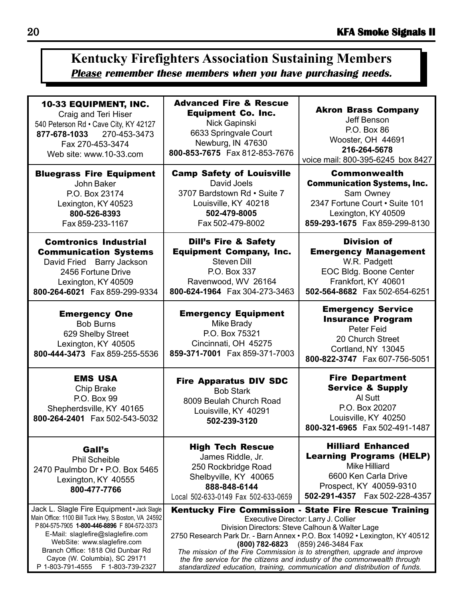# **Kentucky Firefighters Association Sustaining Members Please remember these members when you have purchasing needs.**

| <b>10-33 EQUIPMENT, INC.</b>                                                                                           | <b>Advanced Fire &amp; Rescue</b>                                                                                                                   | <b>Akron Brass Company</b>                                                                                                                                                 |  |  |
|------------------------------------------------------------------------------------------------------------------------|-----------------------------------------------------------------------------------------------------------------------------------------------------|----------------------------------------------------------------------------------------------------------------------------------------------------------------------------|--|--|
| Craig and Teri Hiser                                                                                                   | <b>Equipment Co. Inc.</b>                                                                                                                           | Jeff Benson                                                                                                                                                                |  |  |
| 540 Peterson Rd · Cave City, KY 42127                                                                                  | Nick Gapinski                                                                                                                                       | P.O. Box 86                                                                                                                                                                |  |  |
| 877-678-1033 270-453-3473                                                                                              | 6633 Springvale Court                                                                                                                               | Wooster, OH 44691                                                                                                                                                          |  |  |
| Fax 270-453-3474                                                                                                       | Newburg, IN 47630                                                                                                                                   | 216-264-5678                                                                                                                                                               |  |  |
| Web site: www.10-33.com                                                                                                | 800-853-7675 Fax 812-853-7676                                                                                                                       | voice mail: 800-395-6245 box 8427                                                                                                                                          |  |  |
| <b>Bluegrass Fire Equipment</b>                                                                                        | <b>Camp Safety of Louisville</b>                                                                                                                    | <b>Commonwealth</b>                                                                                                                                                        |  |  |
| John Baker                                                                                                             | David Joels                                                                                                                                         | <b>Communication Systems, Inc.</b>                                                                                                                                         |  |  |
| P.O. Box 23174                                                                                                         | 3707 Bardstown Rd . Suite 7                                                                                                                         | Sam Owney                                                                                                                                                                  |  |  |
| Lexington, KY 40523                                                                                                    | Louisville, KY 40218                                                                                                                                | 2347 Fortune Court . Suite 101                                                                                                                                             |  |  |
| 800-526-8393                                                                                                           | 502-479-8005                                                                                                                                        | Lexington, KY 40509                                                                                                                                                        |  |  |
| Fax 859-233-1167                                                                                                       | Fax 502-479-8002                                                                                                                                    | 859-293-1675 Fax 859-299-8130                                                                                                                                              |  |  |
| <b>Comtronics Industrial</b>                                                                                           | <b>Dill's Fire &amp; Safety</b>                                                                                                                     | <b>Division of</b>                                                                                                                                                         |  |  |
| <b>Communication Systems</b>                                                                                           | <b>Equipment Company, Inc.</b>                                                                                                                      | <b>Emergency Management</b>                                                                                                                                                |  |  |
| David Fried Barry Jackson                                                                                              | <b>Steven Dill</b>                                                                                                                                  | W.R. Padgett                                                                                                                                                               |  |  |
| 2456 Fortune Drive                                                                                                     | P.O. Box 337                                                                                                                                        | EOC Bldg. Boone Center                                                                                                                                                     |  |  |
| Lexington, KY 40509                                                                                                    | Ravenwood, WV 26164                                                                                                                                 | Frankfort, KY 40601                                                                                                                                                        |  |  |
| 800-264-6021 Fax 859-299-9334                                                                                          | 800-624-1964  Fax 304-273-3463                                                                                                                      | 502-564-8682  Fax 502-654-6251                                                                                                                                             |  |  |
| <b>Emergency One</b><br><b>Bob Burns</b><br>629 Shelby Street<br>Lexington, KY 40505<br>800-444-3473  Fax 859-255-5536 | <b>Emergency Equipment</b><br>Mike Brady<br>P.O. Box 75321<br>Cincinnati, OH 45275<br>859-371-7001 Fax 859-371-7003                                 | <b>Emergency Service</b><br><b>Insurance Program</b><br>Peter Feid<br>20 Church Street<br>Cortland, NY 13045<br>800-822-3747  Fax 607-756-5051                             |  |  |
| <b>EMS USA</b><br>Chip Brake<br>P.O. Box 99<br>Shepherdsville, KY 40165<br>800-264-2401  Fax 502-543-5032              | <b>Fire Apparatus DIV SDC</b><br><b>Bob Stark</b><br>8009 Beulah Church Road<br>Louisville, KY 40291<br>502-239-3120                                | <b>Fire Department</b><br><b>Service &amp; Supply</b><br>Al Sutt<br>P.O. Box 20207<br>Louisville, KY 40250<br>800-321-6965 Fax 502-491-1487                                |  |  |
| Gall's<br><b>Phil Scheible</b><br>2470 Paulmbo Dr . P.O. Box 5465<br>Lexington, KY 40555<br>800-477-7766               | <b>High Tech Rescue</b><br>James Riddle, Jr.<br>250 Rockbridge Road<br>Shelbyville, KY 40065<br>888-848-6144<br>Local 502-633-0149 Fax 502-633-0659 | <b>Hilliard Enhanced</b><br><b>Learning Programs (HELP)</b><br><b>Mike Hilliard</b><br>6600 Ken Carla Drive<br>Prospect, KY 40059-9310<br>502-291-4357    Fax 502-228-4357 |  |  |
| Jack L. Slagle Fire Equipment · Jack Slagle                                                                            | Kentucky Fire Commission - State Fire Rescue Training                                                                                               |                                                                                                                                                                            |  |  |
| Main Office: 1100 Bill Tuck Hwy, S Boston, VA 24592                                                                    | Executive Director: Larry J. Collier                                                                                                                |                                                                                                                                                                            |  |  |
| P804-575-7905 1-800-446-8896 F804-572-3373                                                                             | Division Directors: Steve Calhoun & Walter Lage                                                                                                     |                                                                                                                                                                            |  |  |
| E-Mail: slaglefire@slaglefire.com                                                                                      | 2750 Research Park Dr. - Barn Annex · P.O. Box 14092 · Lexington, KY 40512                                                                          |                                                                                                                                                                            |  |  |
| WebSite: www.slaglefire.com                                                                                            | (800) 782-6823 (859) 246-3484 Fax                                                                                                                   |                                                                                                                                                                            |  |  |
| Branch Office: 1818 Old Dunbar Rd                                                                                      | The mission of the Fire Commission is to strengthen, upgrade and improve                                                                            |                                                                                                                                                                            |  |  |
| Cayce (W. Columbia), SC 29171                                                                                          | the fire service for the citizens and industry of the commonwealth through                                                                          |                                                                                                                                                                            |  |  |
| P 1-803-791-4555    F 1-803-739-2327                                                                                   | standardized education, training, communication and distribution of funds.                                                                          |                                                                                                                                                                            |  |  |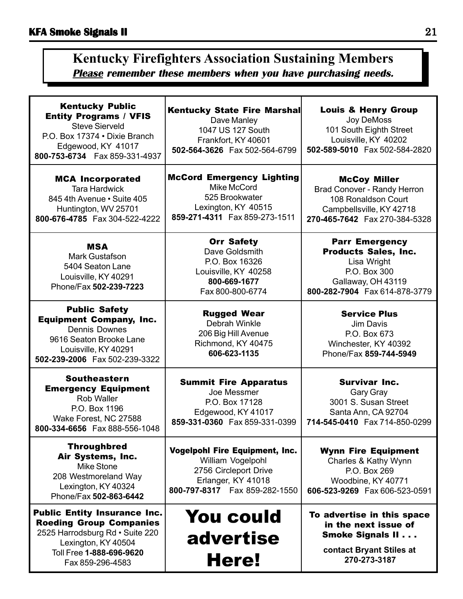# **Kentucky Firefighters Association Sustaining Members Please remember these members when you have purchasing needs.**

| <b>Kentucky Public</b><br><b>Entity Programs / VFIS</b><br><b>Steve Sierveld</b><br>P.O. Box 17374 . Dixie Branch<br>Edgewood, KY 41017<br>800-753-6734    Fax 859-331-4937     | <b>Kentucky State Fire Marshal</b><br>Dave Manley<br>1047 US 127 South<br>Frankfort, KY 40601<br>502-564-3626  Fax 502-564-6799             | <b>Louis &amp; Henry Group</b><br>Joy DeMoss<br>101 South Eighth Street<br>Louisville, KY 40202<br>502-589-5010 Fax 502-584-2820            |  |
|---------------------------------------------------------------------------------------------------------------------------------------------------------------------------------|---------------------------------------------------------------------------------------------------------------------------------------------|---------------------------------------------------------------------------------------------------------------------------------------------|--|
| <b>MCA Incorporated</b><br><b>Tara Hardwick</b><br>845 4th Avenue • Suite 405<br>Huntington, WV 25701<br>800-676-4785  Fax 304-522-4222                                         | <b>McCord Emergency Lighting</b><br>Mike McCord<br>525 Brookwater<br>Lexington, KY 40515<br>859-271-4311  Fax 859-273-1511                  | <b>McCoy Miller</b><br>Brad Conover - Randy Herron<br>108 Ronaldson Court<br>Campbellsville, KY 42718<br>270-465-7642 Fax 270-384-5328      |  |
| <b>MSA</b><br><b>Mark Gustafson</b><br>5404 Seaton Lane<br>Louisville, KY 40291<br>Phone/Fax 502-239-7223                                                                       | <b>Orr Safety</b><br>Dave Goldsmith<br>P.O. Box 16326<br>Louisville, KY 40258<br>800-669-1677<br>Fax 800-800-6774                           | <b>Parr Emergency</b><br><b>Products Sales, Inc.</b><br>Lisa Wright<br>P.O. Box 300<br>Gallaway, OH 43119<br>800-282-7904  Fax 614-878-3779 |  |
| <b>Public Safety</b><br><b>Equipment Company, Inc.</b><br><b>Dennis Downes</b><br>9616 Seaton Brooke Lane<br>Louisville, KY 40291<br>502-239-2006 Fax 502-239-3322              | <b>Rugged Wear</b><br>Debrah Winkle<br>206 Big Hill Avenue<br>Richmond, KY 40475<br>606-623-1135                                            | <b>Service Plus</b><br>Jim Davis<br>P.O. Box 673<br>Winchester, KY 40392<br>Phone/Fax 859-744-5949                                          |  |
| <b>Southeastern</b><br><b>Emergency Equipment</b><br>Rob Waller<br>P.O. Box 1196<br>Wake Forest, NC 27588<br>800-334-6656 Fax 888-556-1048                                      | <b>Summit Fire Apparatus</b><br>Joe Messmer<br>P.O. Box 17128<br>Edgewood, KY 41017<br>859-331-0360 Fax 859-331-0399                        | <b>Survivar Inc.</b><br><b>Gary Gray</b><br>3001 S. Susan Street<br>Santa Ann, CA 92704<br>714-545-0410  Fax 714-850-0299                   |  |
| <b>Throughbred</b><br>Air Systems, Inc.<br>Mike Stone<br>208 Westmoreland Way<br>Lexington, KY 40324<br>Phone/Fax 502-863-6442                                                  | <b>Vogelpohl Fire Equipment, Inc.</b><br>William Vogelpohl<br>2756 Circleport Drive<br>Erlanger, KY 41018<br>800-797-8317  Fax 859-282-1550 | <b>Wynn Fire Equipment</b><br>Charles & Kathy Wynn<br>P.O. Box 269<br>Woodbine, KY 40771<br>606-523-9269  Fax 606-523-0591                  |  |
| <b>Public Entity Insurance Inc.</b><br><b>Roeding Group Companies</b><br>2525 Harrodsburg Rd · Suite 220<br>Lexington, KY 40504<br>Toll Free 1-888-696-9620<br>Fax 859-296-4583 | You could<br>advertise<br><b>Here!</b>                                                                                                      | To advertise in this space<br>in the next issue of<br><b>Smoke Signals II</b><br>contact Bryant Stiles at<br>270-273-3187                   |  |